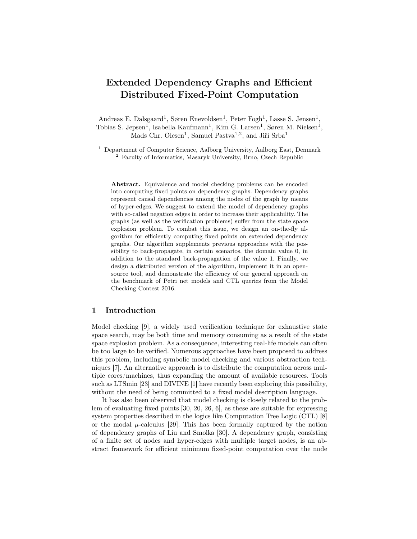# Extended Dependency Graphs and Efficient Distributed Fixed-Point Computation

Andreas E. Dalsgaard<sup>1</sup>, Søren Enevoldsen<sup>1</sup>, Peter Fogh<sup>1</sup>, Lasse S. Jensen<sup>1</sup>, Tobias S. Jepsen<sup>1</sup>, Isabella Kaufmann<sup>1</sup>, Kim G. Larsen<sup>1</sup>, Søren M. Nielsen<sup>1</sup>, Mads Chr. Olesen<sup>1</sup>, Samuel Pastva<sup>1,2</sup>, and Jiří Srba<sup>1</sup>

<sup>1</sup> Department of Computer Science, Aalborg University, Aalborg East, Denmark <sup>2</sup> Faculty of Informatics, Masaryk University, Brno, Czech Republic

Abstract. Equivalence and model checking problems can be encoded into computing fixed points on dependency graphs. Dependency graphs represent causal dependencies among the nodes of the graph by means of hyper-edges. We suggest to extend the model of dependency graphs with so-called negation edges in order to increase their applicability. The graphs (as well as the verification problems) suffer from the state space explosion problem. To combat this issue, we design an on-the-fly algorithm for efficiently computing fixed points on extended dependency graphs. Our algorithm supplements previous approaches with the possibility to back-propagate, in certain scenarios, the domain value 0, in addition to the standard back-propagation of the value 1. Finally, we design a distributed version of the algorithm, implement it in an opensource tool, and demonstrate the efficiency of our general approach on the benchmark of Petri net models and CTL queries from the Model Checking Contest 2016.

## 1 Introduction

Model checking [9], a widely used verification technique for exhaustive state space search, may be both time and memory consuming as a result of the state space explosion problem. As a consequence, interesting real-life models can often be too large to be verified. Numerous approaches have been proposed to address this problem, including symbolic model checking and various abstraction techniques [7]. An alternative approach is to distribute the computation across multiple cores/machines, thus expanding the amount of available resources. Tools such as LTSmin [23] and DIVINE [1] have recently been exploring this possibility, without the need of being committed to a fixed model description language.

It has also been observed that model checking is closely related to the problem of evaluating fixed points [30, 20, 26, 6], as these are suitable for expressing system properties described in the logics like Computation Tree Logic (CTL) [8] or the modal  $\mu$ -calculus [29]. This has been formally captured by the notion of dependency graphs of Liu and Smolka [30]. A dependency graph, consisting of a finite set of nodes and hyper-edges with multiple target nodes, is an abstract framework for efficient minimum fixed-point computation over the node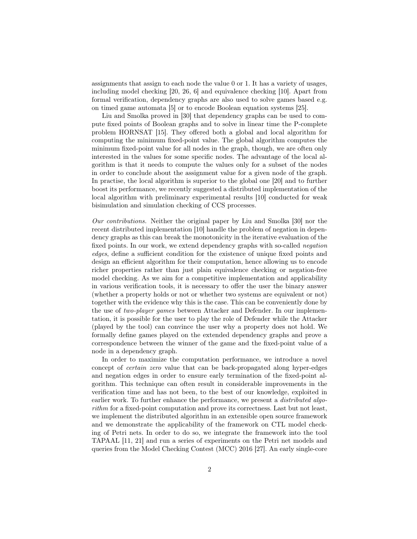assignments that assign to each node the value 0 or 1. It has a variety of usages, including model checking [20, 26, 6] and equivalence checking [10]. Apart from formal verification, dependency graphs are also used to solve games based e.g. on timed game automata [5] or to encode Boolean equation systems [25].

Liu and Smolka proved in [30] that dependency graphs can be used to compute fixed points of Boolean graphs and to solve in linear time the P-complete problem HORNSAT [15]. They offered both a global and local algorithm for computing the minimum fixed-point value. The global algorithm computes the minimum fixed-point value for all nodes in the graph, though, we are often only interested in the values for some specific nodes. The advantage of the local algorithm is that it needs to compute the values only for a subset of the nodes in order to conclude about the assignment value for a given node of the graph. In practise, the local algorithm is superior to the global one [20] and to further boost its performance, we recently suggested a distributed implementation of the local algorithm with preliminary experimental results [10] conducted for weak bisimulation and simulation checking of CCS processes.

Our contributions. Neither the original paper by Liu and Smolka [30] nor the recent distributed implementation [10] handle the problem of negation in dependency graphs as this can break the monotonicity in the iterative evaluation of the fixed points. In our work, we extend dependency graphs with so-called negation edges, define a sufficient condition for the existence of unique fixed points and design an efficient algorithm for their computation, hence allowing us to encode richer properties rather than just plain equivalence checking or negation-free model checking. As we aim for a competitive implementation and applicability in various verification tools, it is necessary to offer the user the binary answer (whether a property holds or not or whether two systems are equivalent or not) together with the evidence why this is the case. This can be conveniently done by the use of two-player games between Attacker and Defender. In our implementation, it is possible for the user to play the role of Defender while the Attacker (played by the tool) can convince the user why a property does not hold. We formally define games played on the extended dependency graphs and prove a correspondence between the winner of the game and the fixed-point value of a node in a dependency graph.

In order to maximize the computation performance, we introduce a novel concept of certain zero value that can be back-propagated along hyper-edges and negation edges in order to ensure early termination of the fixed-point algorithm. This technique can often result in considerable improvements in the verification time and has not been, to the best of our knowledge, exploited in earlier work. To further enhance the performance, we present a *distributed algo*rithm for a fixed-point computation and prove its correctness. Last but not least, we implement the distributed algorithm in an extensible open source framework and we demonstrate the applicability of the framework on CTL model checking of Petri nets. In order to do so, we integrate the framework into the tool TAPAAL [11, 21] and run a series of experiments on the Petri net models and queries from the Model Checking Contest (MCC) 2016 [27]. An early single-core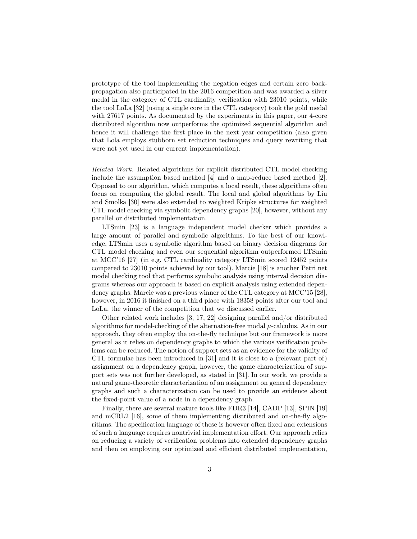prototype of the tool implementing the negation edges and certain zero backpropagation also participated in the 2016 competition and was awarded a silver medal in the category of CTL cardinality verification with 23010 points, while the tool LoLa [32] (using a single core in the CTL category) took the gold medal with 27617 points. As documented by the experiments in this paper, our 4-core distributed algorithm now outperforms the optimized sequential algorithm and hence it will challenge the first place in the next year competition (also given that Lola employs stubborn set reduction techniques and query rewriting that were not yet used in our current implementation).

Related Work. Related algorithms for explicit distributed CTL model checking include the assumption based method [4] and a map-reduce based method [2]. Opposed to our algorithm, which computes a local result, these algorithms often focus on computing the global result. The local and global algorithms by Liu and Smolka [30] were also extended to weighted Kripke structures for weighted CTL model checking via symbolic dependency graphs [20], however, without any parallel or distributed implementation.

LTSmin [23] is a language independent model checker which provides a large amount of parallel and symbolic algorithms. To the best of our knowledge, LTSmin uses a symbolic algorithm based on binary decision diagrams for CTL model checking and even our sequential algorithm outperformed LTSmin at MCC'16 [27] (in e.g. CTL cardinality category LTSmin scored 12452 points compared to 23010 points achieved by our tool). Marcie [18] is another Petri net model checking tool that performs symbolic analysis using interval decision diagrams whereas our approach is based on explicit analysis using extended dependency graphs. Marcie was a previous winner of the CTL category at MCC'15 [28], however, in 2016 it finished on a third place with 18358 points after our tool and LoLa, the winner of the competition that we discussed earlier.

Other related work includes [3, 17, 22] designing parallel and/or distributed algorithms for model-checking of the alternation-free modal  $\mu$ -calculus. As in our approach, they often employ the on-the-fly technique but our framework is more general as it relies on dependency graphs to which the various verification problems can be reduced. The notion of support sets as an evidence for the validity of CTL formulae has been introduced in [31] and it is close to a (relevant part of) assignment on a dependency graph, however, the game characterization of support sets was not further developed, as stated in [31]. In our work, we provide a natural game-theoretic characterization of an assignment on general dependency graphs and such a characterization can be used to provide an evidence about the fixed-point value of a node in a dependency graph.

Finally, there are several mature tools like FDR3 [14], CADP [13], SPIN [19] and mCRL2 [16], some of them implementing distributed and on-the-fly algorithms. The specification language of these is however often fixed and extensions of such a language requires nontrivial implementation effort. Our approach relies on reducing a variety of verification problems into extended dependency graphs and then on employing our optimized and efficient distributed implementation,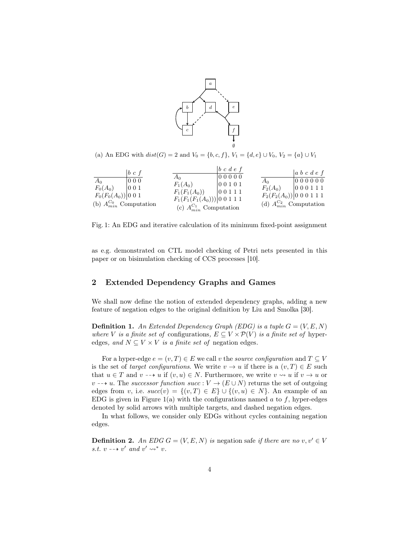

(a) An EDG with  $dist(G) = 2$  and  $V_0 = \{b, c, f\}$ ,  $V_1 = \{d, e\} \cup V_0$ ,  $V_2 = \{a\} \cup V_1$ 

| $F_0(F_0(A_0)) 0\;0\;1$<br>$F_1(F_1(F_1(A_0))) 0\;0\;1\;1\;1$<br>(b) $A_{min}^{C_0}$ Computation<br>(c) $A_{min}^{C_1}$ Computation | $ b\ c\ f$<br>0 0 0<br>$A_0$<br>$F_0(A_0)$<br>$\vert 0\; 0\; 1$ | $\boldsymbol{b} \boldsymbol{c} \boldsymbol{d} \boldsymbol{e} \boldsymbol{f}$<br>00000<br>$A_0$<br>$F_1(A_0)$<br>00101<br>$F_1(F_1(A_0))$<br>00111 | $ a\;b\;c\;d\;e\;f $<br> 000000<br>$A_0$<br>$F_2(A_0)$<br> 000111<br>$F_2(F_2(A_0)) 0\;0\;0\;1\;1\;1$<br>(d) $A_{min}^{C_2}$ Computation |
|-------------------------------------------------------------------------------------------------------------------------------------|-----------------------------------------------------------------|---------------------------------------------------------------------------------------------------------------------------------------------------|------------------------------------------------------------------------------------------------------------------------------------------|
|-------------------------------------------------------------------------------------------------------------------------------------|-----------------------------------------------------------------|---------------------------------------------------------------------------------------------------------------------------------------------------|------------------------------------------------------------------------------------------------------------------------------------------|

Fig. 1: An EDG and iterative calculation of its minimum fixed-point assignment

as e.g. demonstrated on CTL model checking of Petri nets presented in this paper or on bisimulation checking of CCS processes [10].

## 2 Extended Dependency Graphs and Games

We shall now define the notion of extended dependency graphs, adding a new feature of negation edges to the original definition by Liu and Smolka [30].

**Definition 1.** An Extended Dependency Graph (EDG) is a tuple  $G = (V, E, N)$ where V is a finite set of configurations,  $E \subseteq V \times \mathcal{P}(V)$  is a finite set of hyperedges, and  $N \subseteq V \times V$  is a finite set of negation edges.

For a hyper-edge  $e = (v, T) \in E$  we call v the source configuration and  $T \subseteq V$ is the set of target configurations. We write  $v \to u$  if there is a  $(v, T) \in E$  such that  $u \in T$  and  $v \dashrightarrow u$  if  $(v, u) \in N$ . Furthermore, we write  $v \rightsquigarrow u$  if  $v \rightarrow u$  or  $v \rightarrow u$ . The successor function succ :  $V \rightarrow (E \cup N)$  returns the set of outgoing edges from v, i.e.  $succ(v) = \{(v,T) \in E\} \cup \{(v,u) \in N\}$ . An example of an EDG is given in Figure 1(a) with the configurations named  $a$  to  $f$ , hyper-edges denoted by solid arrows with multiple targets, and dashed negation edges.

In what follows, we consider only EDGs without cycles containing negation edges.

**Definition 2.** An EDG  $G = (V, E, N)$  is negation safe if there are no  $v, v' \in V$ s.t.  $v \dashrightarrow v'$  and  $v' \leadsto^* v$ .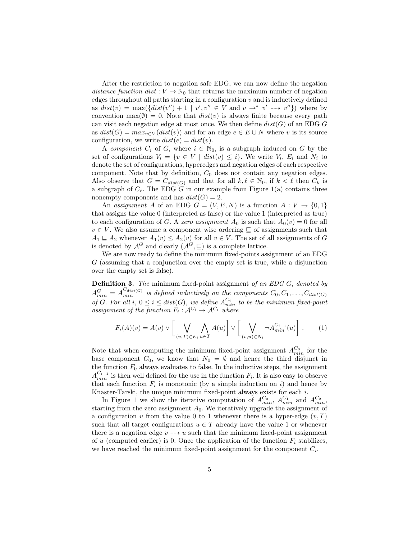After the restriction to negation safe EDG, we can now define the negation distance function dist :  $V \to \mathbb{N}_0$  that returns the maximum number of negation edges throughout all paths starting in a configuration  $v$  and is inductively defined as  $dist(v) = \max(\{dist(v'') + 1 \mid v', v'' \in V \text{ and } v \to^* v' \dashrightarrow v''\})$  where by convention max( $\emptyset$ ) = 0. Note that  $dist(v)$  is always finite because every path can visit each negation edge at most once. We then define  $dist(G)$  of an EDG G as  $dist(G) = max_{v \in V}(dist(v))$  and for an edge  $e \in E \cup N$  where v is its source configuration, we write  $dist(e) = dist(v)$ .

A component  $C_i$  of G, where  $i \in \mathbb{N}_0$ , is a subgraph induced on G by the set of configurations  $V_i = \{v \in V \mid dist(v) \leq i\}$ . We write  $V_i$ ,  $E_i$  and  $N_i$  to denote the set of configurations, hyperedges and negation edges of each respective component. Note that by definition,  $C_0$  does not contain any negation edges. Also observe that  $G = C_{dist(G)}$  and that for all  $k, \ell \in \mathbb{N}_0$ , if  $k < \ell$  then  $C_k$  is a subgraph of  $C_{\ell}$ . The EDG G in our example from Figure 1(a) contains three nonempty components and has  $dist(G) = 2$ .

An assignment A of an EDG  $G = (V, E, N)$  is a function  $A: V \rightarrow \{0, 1\}$ that assigns the value 0 (interpreted as false) or the value 1 (interpreted as true) to each configuration of G. A zero assignment  $A_0$  is such that  $A_0(v) = 0$  for all  $v \in V$ . We also assume a component wise ordering  $\subseteq$  of assignments such that  $A_1 \subseteq A_2$  whenever  $A_1(v) \leq A_2(v)$  for all  $v \in V$ . The set of all assignments of G is denoted by  $\mathcal{A}^G$  and clearly  $(\mathcal{A}^G, \sqsubseteq)$  is a complete lattice.

We are now ready to define the minimum fixed-points assignment of an EDG G (assuming that a conjunction over the empty set is true, while a disjunction over the empty set is false).

Definition 3. The minimum fixed-point assignment of an EDG G, denoted by  $A_{min}^G = A_{min}^{C_{dist(G)}}$  is defined inductively on the components  $C_0, C_1, \ldots, C_{dist(G)}$ of G. For all i,  $0 \leq i \leq dist(G)$ , we define  $A_{min}^{C_i}$  to be the minimum fixed-point assignment of the function  $F_i: \mathcal{A}^{C_i} \to \mathcal{A}^{C_i}$  where

$$
F_i(A)(v) = A(v) \vee \left[ \bigvee_{(v,T) \in E_i} \bigwedge_{u \in T} A(u) \right] \vee \left[ \bigvee_{(v,u) \in N_i} \neg A_{min}^{C_{i-1}}(u) \right]. \tag{1}
$$

Note that when computing the minimum fixed-point assignment  $A_{min}^{C_0}$  for the base component  $C_0$ , we know that  $N_0 = \emptyset$  and hence the third disjunct in the function  $F_0$  always evaluates to false. In the inductive steps, the assignment  $A_{min}^{C_{i-1}}$  is then well defined for the use in the function  $F_i$ . It is also easy to observe that each function  $F_i$  is monotonic (by a simple induction on i) and hence by Knaster-Tarski, the unique minimum fixed-point always exists for each i.

In Figure 1 we show the iterative computation of  $A_{min}^{C_0}$ ,  $A_{min}^{C_1}$  and  $A_{min}^{C_2}$ , starting from the zero assignment  $A_0$ . We iteratively upgrade the assignment of a configuration v from the value 0 to 1 whenever there is a hyper-edge  $(v, T)$ such that all target configurations  $u \in T$  already have the value 1 or whenever there is a negation edge  $v \rightarrow u$  such that the minimum fixed-point assignment of u (computed earlier) is 0. Once the application of the function  $F_i$  stabilizes, we have reached the minimum fixed-point assignment for the component  $C_i$ .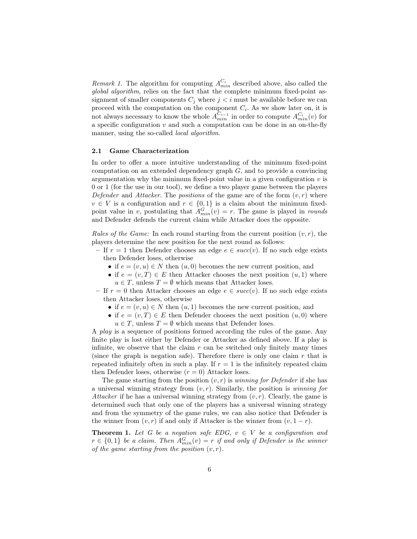*Remark 1*. The algorithm for computing  $A_{min}^{C_i}$  described above, also called the global algorithm, relies on the fact that the complete minimum fixed-point assignment of smaller components  $C_j$  where  $j < i$  must be available before we can proceed with the computation on the component  $C_i$ . As we show later on, it is not always necessary to know the whole  $A_{min}^{C_{i-1}}$  in order to compute  $A_{min}^{C_i}(v)$  for a specific configuration  $v$  and such a computation can be done in an on-the-fly manner, using the so-called *local algorithm*.

#### 2.1 Game Characterization

In order to offer a more intuitive understanding of the minimum fixed-point computation on an extended dependency graph  $G$ , and to provide a convincing argumentation why the minimum fixed-point value in a given configuration  $v$  is 0 or 1 (for the use in our tool), we define a two player game between the players Defender and Attacker. The positions of the game are of the form  $(v, r)$  where  $v \in V$  is a configuration and  $r \in \{0,1\}$  is a claim about the minimum fixedpoint value in v, postulating that  $A_{min}^G(v) = r$ . The game is played in rounds and Defender defends the current claim while Attacker does the opposite.

*Rules of the Game:* In each round starting from the current position  $(v, r)$ , the players determine the new position for the next round as follows:

- If  $r = 1$  then Defender chooses an edge  $e \in succ(v)$ . If no such edge exists then Defender loses, otherwise
	- if  $e = (v, u) \in N$  then  $(u, 0)$  becomes the new current position, and
	- if  $e = (v, T) \in E$  then Attacker chooses the next position  $(u, 1)$  where  $u \in T$ , unless  $T = \emptyset$  which means that Attacker loses.
- If  $r = 0$  then Attacker chooses an edge  $e \in succ(v)$ . If no such edge exists then Attacker loses, otherwise
	- if  $e = (v, u) \in N$  then  $(u, 1)$  becomes the new current position, and
	- if  $e = (v, T) \in E$  then Defender chooses the next position  $(u, 0)$  where  $u \in T$ , unless  $T = \emptyset$  which means that Defender loses.

A play is a sequence of positions formed according the rules of the game. Any finite play is lost either by Defender or Attacker as defined above. If a play is infinite, we observe that the claim  $r$  can be switched only finitely many times (since the graph is negation safe). Therefore there is only one claim  $r$  that is repeated infinitely often in such a play. If  $r = 1$  is the infinitely repeated claim then Defender loses, otherwise  $(r = 0)$  Attacker loses.

The game starting from the position  $(v, r)$  is *winning for Defender* if she has a universal winning strategy from  $(v, r)$ . Similarly, the position is *winning for* Attacker if he has a universal winning strategy from  $(v, r)$ . Clearly, the game is determined such that only one of the players has a universal winning strategy and from the symmetry of the game rules, we can also notice that Defender is the winner from  $(v, r)$  if and only if Attacker is the winner from  $(v, 1 - r)$ .

**Theorem 1.** Let G be a negation safe EDG,  $v \in V$  be a configuration and  $r \in \{0,1\}$  be a claim. Then  $A_{min}^G(v) = r$  if and only if Defender is the winner of the game starting from the position  $(v, r)$ .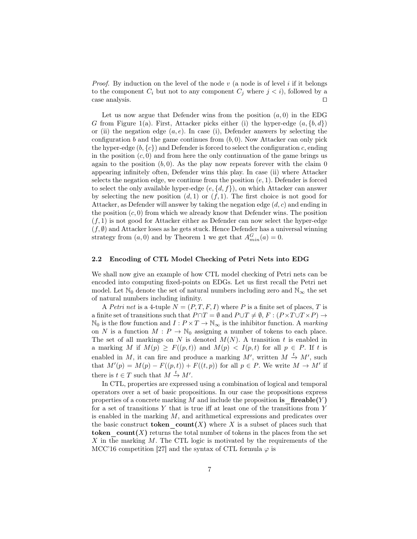*Proof.* By induction on the level of the node  $v$  (a node is of level i if it belongs to the component  $C_i$  but not to any component  $C_j$  where  $j < i$ , followed by a case analysis.  $\Box$ 

Let us now argue that Defender wins from the position  $(a, 0)$  in the EDG G from Figure 1(a). First, Attacker picks either (i) the hyper-edge  $(a, \{b, d\})$ or (ii) the negation edge  $(a, e)$ . In case (i), Defender answers by selecting the configuration b and the game continues from  $(b, 0)$ . Now Attacker can only pick the hyper-edge  $(b, \{c\})$  and Defender is forced to select the configuration c, ending in the position  $(c, 0)$  and from here the only continuation of the game brings us again to the position  $(b, 0)$ . As the play now repeats forever with the claim 0 appearing infinitely often, Defender wins this play. In case (ii) where Attacker selects the negation edge, we continue from the position  $(e, 1)$ . Defender is forced to select the only available hyper-edge  $(e, \{d, f\})$ , on which Attacker can answer by selecting the new position  $(d, 1)$  or  $(f, 1)$ . The first choice is not good for Attacker, as Defender will answer by taking the negation edge  $(d, c)$  and ending in the position  $(c, 0)$  from which we already know that Defender wins. The position  $(f, 1)$  is not good for Attacker either as Defender can now select the hyper-edge  $(f, \emptyset)$  and Attacker loses as he gets stuck. Hence Defender has a universal winning strategy from  $(a, 0)$  and by Theorem 1 we get that  $A_{min}^G(a) = 0$ .

#### 2.2 Encoding of CTL Model Checking of Petri Nets into EDG

We shall now give an example of how CTL model checking of Petri nets can be encoded into computing fixed-points on EDGs. Let us first recall the Petri net model. Let  $\mathbb{N}_0$  denote the set of natural numbers including zero and  $\mathbb{N}_{\infty}$  the set of natural numbers including infinity.

A Petri net is a 4-tuple  $N = (P, T, F, I)$  where P is a finite set of places, T is a finite set of transitions such that  $P \cap T = \emptyset$  and  $P \cup T \neq \emptyset$ ,  $F : (P \times T \cup T \times P) \rightarrow$  $\mathbb{N}_0$  is the flow function and  $I: P \times T \to \mathbb{N}_{\infty}$  is the inhibitor function. A marking on N is a function  $M : P \to \mathbb{N}_0$  assigning a number of tokens to each place. The set of all markings on N is denoted  $M(N)$ . A transition t is enabled in a marking M if  $M(p) \geq F((p,t))$  and  $M(p) < I(p,t)$  for all  $p \in P$ . If t is enabled in M, it can fire and produce a marking  $M'$ , written  $M \stackrel{t}{\rightarrow} M'$ , such that  $M'(p) = M(p) - F((p, t)) + F((t, p))$  for all  $p \in P$ . We write  $M \to M'$  if there is  $t \in T$  such that  $M \stackrel{t}{\rightarrow} M'$ .

In CTL, properties are expressed using a combination of logical and temporal operators over a set of basic propositions. In our case the propositions express properties of a concrete marking M and include the proposition is  $\mathbf{f}$  freable(Y) for a set of transitions Y that is true iff at least one of the transitions from Y is enabled in the marking M, and arithmetical expressions and predicates over the basic construct **token** count  $(X)$  where X is a subset of places such that token  $\text{count}(X)$  returns the total number of tokens in the places from the set  $X$  in the marking  $M$ . The CTL logic is motivated by the requirements of the MCC'16 competition [27] and the syntax of CTL formula  $\varphi$  is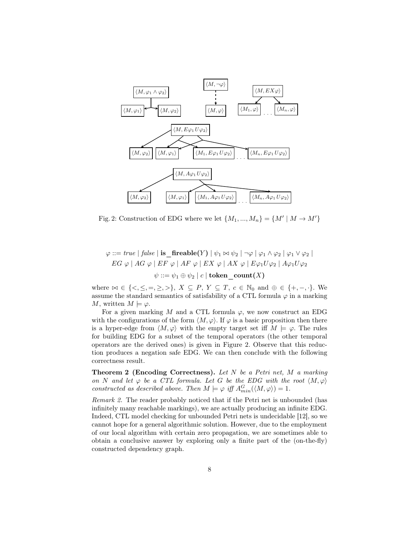

Fig. 2: Construction of EDG where we let  $\{M_1, ..., M_n\} = \{M' | M \to M'\}$ 

$$
\varphi ::= true \mid false \mid \mathbf{is\_fireable}(Y) \mid \psi_1 \bowtie \psi_2 \mid \neg \varphi \mid \varphi_1 \land \varphi_2 \mid \varphi_1 \lor \varphi_2 \mid
$$
  
\n
$$
EG \varphi \mid AG \varphi \mid EF \varphi \mid AF \varphi \mid EX \varphi \mid AX \varphi \mid E\varphi_1 U\varphi_2 \mid A\varphi_1 U\varphi_2
$$
  
\n
$$
\psi ::= \psi_1 \oplus \psi_2 \mid c \mid \mathbf{token\_count}(X)
$$

where  $\bowtie \in \{<,\leq,=,\geq,>\}, X \subseteq P, Y \subseteq T, c \in \mathbb{N}_0 \text{ and } \oplus \in \{+,-,\cdot\}.$  We assume the standard semantics of satisfability of a CTL formula  $\varphi$  in a marking M, written  $M \models \varphi$ .

For a given marking M and a CTL formula  $\varphi$ , we now construct an EDG with the configurations of the form  $\langle M, \varphi \rangle$ . If  $\varphi$  is a basic proposition then there is a hyper-edge from  $\langle M, \varphi \rangle$  with the empty target set iff  $M \models \varphi$ . The rules for building EDG for a subset of the temporal operators (the other temporal operators are the derived ones) is given in Figure 2. Observe that this reduction produces a negation safe EDG. We can then conclude with the following correctness result.

**Theorem 2 (Encoding Correctness).** Let  $N$  be a Petri net,  $M$  a marking on N and let  $\varphi$  be a CTL formula. Let G be the EDG with the root  $\langle M, \varphi \rangle$ constructed as described above. Then  $M \models \varphi$  iff  $A_{min}^G(\langle M, \varphi \rangle) = 1$ .

Remark 2. The reader probably noticed that if the Petri net is unbounded (has infinitely many reachable markings), we are actually producing an infinite EDG. Indeed, CTL model checking for unbounded Petri nets is undecidable [12], so we cannot hope for a general algorithmic solution. However, due to the employment of our local algorithm with certain zero propagation, we are sometimes able to obtain a conclusive answer by exploring only a finite part of the (on-the-fly) constructed dependency graph.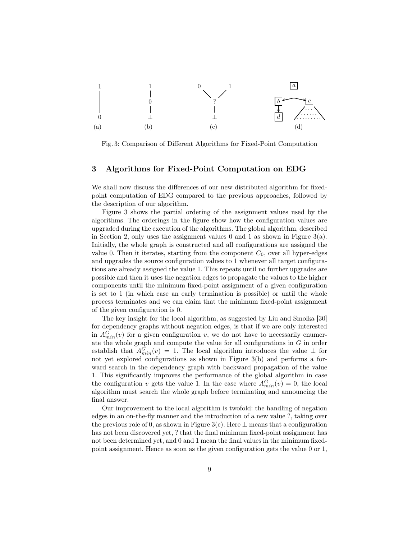

Fig. 3: Comparison of Different Algorithms for Fixed-Point Computation

## 3 Algorithms for Fixed-Point Computation on EDG

We shall now discuss the differences of our new distributed algorithm for fixedpoint computation of EDG compared to the previous approaches, followed by the description of our algorithm.

Figure 3 shows the partial ordering of the assignment values used by the algorithms. The orderings in the figure show how the configuration values are upgraded during the execution of the algorithms. The global algorithm, described in Section 2, only uses the assignment values 0 and 1 as shown in Figure  $3(a)$ . Initially, the whole graph is constructed and all configurations are assigned the value 0. Then it iterates, starting from the component  $C_0$ , over all hyper-edges and upgrades the source configuration values to 1 whenever all target configurations are already assigned the value 1. This repeats until no further upgrades are possible and then it uses the negation edges to propagate the values to the higher components until the minimum fixed-point assignment of a given configuration is set to 1 (in which case an early termination is possible) or until the whole process terminates and we can claim that the minimum fixed-point assignment of the given configuration is 0.

The key insight for the local algorithm, as suggested by Liu and Smolka [30] for dependency graphs without negation edges, is that if we are only interested in  $A_{min}^G(v)$  for a given configuration v, we do not have to necessarily enumerate the whole graph and compute the value for all configurations in G in order establish that  $A_{min}^G(v) = 1$ . The local algorithm introduces the value  $\perp$  for not yet explored configurations as shown in Figure 3(b) and performs a forward search in the dependency graph with backward propagation of the value 1. This significantly improves the performance of the global algorithm in case the configuration v gets the value 1. In the case where  $A_{min}^G(v) = 0$ , the local algorithm must search the whole graph before terminating and announcing the final answer.

Our improvement to the local algorithm is twofold: the handling of negation edges in an on-the-fly manner and the introduction of a new value ?, taking over the previous role of 0, as shown in Figure 3(c). Here  $\perp$  means that a configuration has not been discovered yet, ? that the final minimum fixed-point assignment has not been determined yet, and 0 and 1 mean the final values in the minimum fixedpoint assignment. Hence as soon as the given configuration gets the value 0 or 1,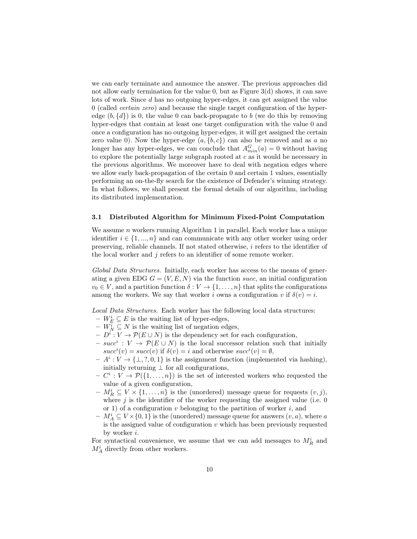we can early terminate and announce the answer. The previous approaches did not allow early termination for the value 0, but as Figure 3(d) shows, it can save lots of work. Since d has no outgoing hyper-edges, it can get assigned the value 0 (called certain zero) and because the single target configuration of the hyperedge  $(b, \{d\})$  is 0, the value 0 can back-propagate to b (we do this by removing hyper-edges that contain at least one target configuration with the value 0 and once a configuration has no outgoing hyper-edges, it will get assigned the certain zero value 0). Now the hyper-edge  $(a, \{b, c\})$  can also be removed and as a no longer has any hyper-edges, we can conclude that  $A_{min}^G(a) = 0$  without having to explore the potentially large subgraph rooted at  $c$  as it would be necessary in the previous algorithms. We moreover have to deal with negation edges where we allow early back-propagation of the certain 0 and certain 1 values, essentially performing an on-the-fly search for the existence of Defender's winning strategy. In what follows, we shall present the formal details of our algorithm, including its distributed implementation.

## 3.1 Distributed Algorithm for Minimum Fixed-Point Computation

We assume  $n$  workers running Algorithm 1 in parallel. Each worker has a unique identifier  $i \in \{1, ..., n\}$  and can communicate with any other worker using order preserving, reliable channels. If not stated otherwise, i refers to the identifier of the local worker and  $j$  refers to an identifier of some remote worker.

Global Data Structures. Initially, each worker has access to the means of generating a given EDG  $G = (V, E, N)$  via the function succ, an initial configuration  $v_0 \in V$ , and a partition function  $\delta : V \to \{1, \ldots, n\}$  that splits the configurations among the workers. We say that worker i owns a configuration v if  $\delta(v) = i$ .

Local Data Structures. Each worker has the following local data structures:

- $W^i_{\mathcal{E}} \subseteq \mathcal{E}$  is the waiting list of hyper-edges,
- $W_N^i \subseteq N$  is the waiting list of negation edges,
- $-D<sup>i</sup>: V \to \mathcal{P}(E \cup N)$  is the dependency set for each configuration,
- $succ^i: V \to \mathcal{P}(E \cup N)$  is the local successor relation such that initially  $succ^i(v) = succ(v)$  if  $\delta(v) = i$  and otherwise  $succ^i(v) = \emptyset$ ,
- $-A^i: V \to \{\perp, ?, 0, 1\}$  is the assignment function (implemented via hashing), initially returning  $\perp$  for all configurations,
- $C^i: V \to \mathcal{P}(\{1, ..., n\})$  is the set of interested workers who requested the value of a given configuration,
- $-M_R^i \subseteq V \times \{1, \ldots, n\}$  is the (unordered) message queue for requests  $(v, j)$ , where  $j$  is the identifier of the worker requesting the assigned value (i.e. 0) or 1) of a configuration v belonging to the partition of worker  $i$ , and
- $M_A^i \subseteq V \times \{0,1\}$  is the (unordered) message queue for answers  $(v,a)$ , where  $a$ is the assigned value of configuration  $v$  which has been previously requested by worker i.

For syntactical convenience, we assume that we can add messages to  $M_R^i$  and  ${\cal M}_A^i$  directly from other workers.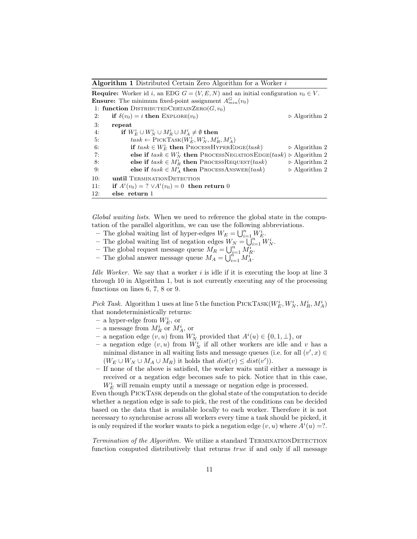Algorithm 1 Distributed Certain Zero Algorithm for a Worker i

**Require:** Worker id i, an EDG  $G = (V, E, N)$  and an initial configuration  $v_0 \in V$ . **Ensure:** The minimum fixed-point assignment  $A_{min}^G(v_0)$ 1: function DISTRIBUTEDCERTAINZERO $(G, v_0)$ 2: if  $\delta(v_0) = i$  then  $\text{EXPLORE}(v_0)$   $\triangleright$  Algorithm 2 3: repeat 4: if  $W_E^i \cup W_N^i \cup M_R^i \cup M_A^i \neq \emptyset$  then 5:  $task \leftarrow \text{PICKTask}(W_E^i, W_N^i, M_R^i, M_A^i)$ 6: **if**  $task \in W_E^i$  then ProcessHyperEDGE(task)  $\triangleright$  Algorithm 2 7: else if  $task \in W_N^i$  then ProcessNegationEDge(task)  $\triangleright$  Algorithm 2 8: else if  $task \in M_R^i$  then ProcessRequest(task)  $\rightarrow$  Algorithm 2 9: else if  $task \in M_A^i$  then ProcessAnswer(task)  $\triangleright$  Algorithm 2 10: until TERMINATIONDETECTION 11: **if**  $A^{i}(v_0) = ? \lor A^{i}(v_0) = 0$  then return 0 12: else return 1

Global waiting lists. When we need to reference the global state in the computation of the parallel algorithm, we can use the following abbreviations.

- The global waiting list of hyper-edges  $W_E = \bigcup_{i=1}^n W_E^i$ .
- The global waiting list of negation edges  $W_N = \bigcup_{i=1}^n W_N^i$ .
- The global request message queue  $M_R = \bigcup_{i=1}^n M_R^i$ .
- The global answer message queue  $M_A = \bigcup_{i=1}^{n} M_A^i$ .

Idle Worker. We say that a worker  $i$  is idle if it is executing the loop at line 3 through 10 in Algorithm 1, but is not currently executing any of the processing functions on lines 6, 7, 8 or 9.

Pick Task. Algorithm 1 uses at line 5 the function  ${\rm PicKTASK}(W_E^i,W_N^i,M_R^i,M_A^i)$ that nondeterministically returns:

- a hyper-edge from  $W_E^i$ , or
- a message from  $M_R^i$  or  $M_A^i$ , or
- − a negation edge  $(v, u)$  from  $W_N^i$  provided that  $A^i(u) \in \{0, 1, \perp\}$ , or
- a negation edge  $(v, u)$  from  $W_N^i$  if all other workers are idle and v has a minimal distance in all waiting lists and message queues (i.e. for all  $(v', x) \in$  $(W_E \cup W_N \cup M_A \cup M_R)$  it holds that  $dist(v) \leq dist(v')$ .
- If none of the above is satisfied, the worker waits until either a message is received or a negation edge becomes safe to pick. Notice that in this case,  $W_E^i$  will remain empty until a message or negation edge is processed.

Even though PickTask depends on the global state of the computation to decide whether a negation edge is safe to pick, the rest of the conditions can be decided based on the data that is available locally to each worker. Therefore it is not necessary to synchronise across all workers every time a task should be picked, it is only required if the worker wants to pick a negation edge  $(v, u)$  where  $A^{i}(u) = ?$ .

 $Termination of the Algorithm.$  We utilize a standard TERMINATIONDETECTION function computed distributively that returns true if and only if all message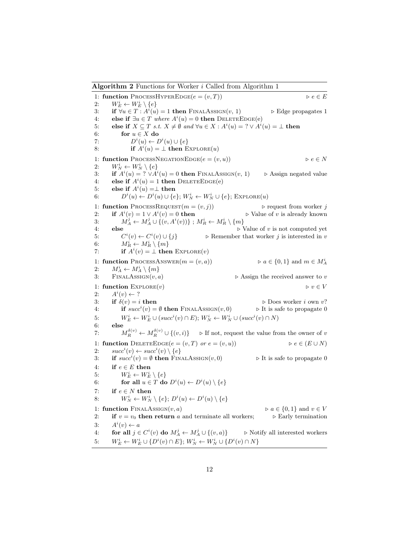3: if  $\forall u \in T : A^i(u) = 1$  then FINALASSIGN $(v, 1)$   $\triangleright$  Edge propagates 1 4: else if  $\exists u \in T$  where  $A^i(u) = 0$  then DELETEEDGE(e) 5: else if  $X \subseteq T$  s.t.  $X \neq \emptyset$  and  $\forall u \in X : A^i(u) = ? \vee A^i(u) = \bot$  then 6: for  $u \in X$  do 7:  $D^{i}(u) \leftarrow D^{i}(u) \cup \{e\}$ 8: if  $A^i(u) = \perp$  then EXPLORE(u) 1: function ProcessNegationEdge =  $(v, u)$   $\triangleright e \in N$ 2:  $W_N^i \leftarrow W_N^i \setminus \{e\}$ 3: if  $A^i(u) = ? \vee A^i(u) = 0$  then FINALASSIGN $(v, 1)$   $\rightarrow$  Assign negated value 4: else if  $A^{i}(u) = 1$  then DELETEEDGE(e) 5: else if  $A^i(u) = \perp$  then 6:  $D^i(u) \leftarrow D^i(u) \cup \{e\}; W_N^i \leftarrow W_N^i \cup \{e\};$  EXPLORE $(u)$ 1: **function** PROCESSREQUEST $(m = (v, j))$  b request from worker j 2: if  $A^i(v) = 1 \vee A^i$  $\triangleright$  Value of  $v$  is already known 3:  $M_A^j \leftarrow M_A^j \cup \{(v, A^i(v))\}$ ;  $M_R^i \leftarrow M_R^i \setminus \{m\}$ 4: else  $\triangleright$  Value of v is not computed yet 5:  $C^i(v) \leftarrow C^i$  $\triangleright$  Remember that worker j is interested in v 6:  $M_R^i \leftarrow M_R^i \setminus \{m\}$ 7: if  $A^i(v) = \bot$  then EXPLORE(v) 1: function ProcessAnswer $(m = (v, a))$  $\rhd a \in \{0,1\}$  and  $m \in M_A^i$ 2:  $M_A^i \leftarrow M_A^i \setminus \{m\}$ 3: FINALASSIGN $(v, a)$  b Assign the received answer to v 1: function  $\text{EXPLORE}(v)$  .  $\triangleright v \in V$ 2:  $A^i(v) \leftarrow ?$ 3: if  $\delta(v) = i$  then  $\triangleright$  Does worker i own v? 4: if  $succ^i(v) = \emptyset$  then FINALASSIGN $(v, 0)$   $\triangleright$  It is safe to propagate 0 5:  $W_E^i \leftarrow W_E^i \cup (succ^i(v) \cap E); W_N^i \leftarrow W_N^i \cup (succ^i(v) \cap N)$ 6: else 7:  $M_R^{\delta(v)} \leftarrow M_R^{\delta(v)} \cup \{(v, i)\}$  b If not, request the value from the owner of v 1: function  $D \text{ELETEE}$  $D \text{GE}(e = (v, T) \text{ or } e = (v, u))$   $\triangleright e \in (E \cup N)$ 2:  $succ^i(v) \leftarrow succ^i(v) \setminus \{e\}$ 3: if  $succ^i(v) = \emptyset$  then FINALASSIGN $(v, 0)$   $\triangleright$  It is safe to propagate 0 4: if  $e \in E$  then 5:  $W_E^i \leftarrow W_E^i \setminus \{e\}$ 6: for all  $u \in T$  do  $D^{i}(u) \leftarrow D^{i}(u) \setminus \{e\}$ 7: if  $e \in N$  then 8:  $W_N^i \leftarrow W_N^i \setminus \{e\}; D^i(u) \leftarrow D^i(u) \setminus \{e\}$ 1: **function** FINALASSIGN $(v, a)$   $\triangleright a \in \{0, 1\}$  and  $v \in V$ 2: if  $v = v_0$  then return a and terminate all workers;  $\triangleright$  Early termination 3:  $A^i(v) \leftarrow a$ 

Algorithm 2 Functions for Worker i Called from Algorithm 1

2:  $W_E^i \leftarrow W_E^i \setminus \{e\}$ 

1: function PROCESSHYPEREDGE $(e = (v, T))$   $\triangleright e \in E$ 

4: **for all** 
$$
j \in C^i(v)
$$
 **do**  $M_A^j \leftarrow M_A^j \cup \{(v, a)\}\$   $\triangleright$  Notify all interested workers  
5:  $W_E^i \leftarrow W_E^i \cup \{D^i(v) \cap E\}; W_N^i \leftarrow W_N^i \cup \{D^i(v) \cap N\}$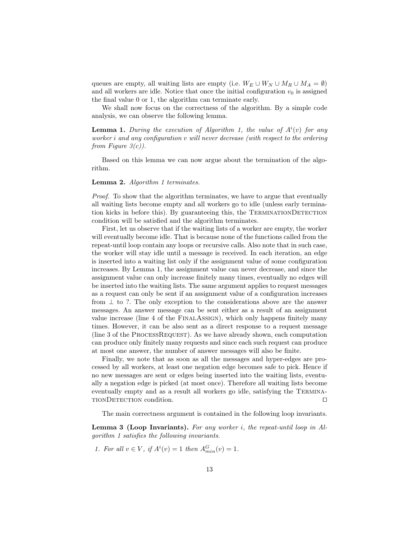queues are empty, all waiting lists are empty (i.e.  $W_E \cup W_N \cup M_R \cup M_A = \emptyset$ ) and all workers are idle. Notice that once the initial configuration  $v_0$  is assigned the final value 0 or 1, the algorithm can terminate early.

We shall now focus on the correctness of the algorithm. By a simple code analysis, we can observe the following lemma.

**Lemma 1.** During the execution of Algorithm 1, the value of  $A^{i}(v)$  for any worker i and any configuration v will never decrease (with respect to the ordering from Figure  $3(c)$ ).

Based on this lemma we can now argue about the termination of the algorithm.

#### Lemma 2. Algorithm 1 terminates.

Proof. To show that the algorithm terminates, we have to argue that eventually all waiting lists become empty and all workers go to idle (unless early termination kicks in before this). By guaranteeing this, the TERMINATIONDETECTION condition will be satisfied and the algorithm terminates.

First, let us observe that if the waiting lists of a worker are empty, the worker will eventually become idle. That is because none of the functions called from the repeat-until loop contain any loops or recursive calls. Also note that in such case, the worker will stay idle until a message is received. In each iteration, an edge is inserted into a waiting list only if the assignment value of some configuration increases. By Lemma 1, the assignment value can never decrease, and since the assignment value can only increase finitely many times, eventually no edges will be inserted into the waiting lists. The same argument applies to request messages as a request can only be sent if an assignment value of a configuration increases from  $\perp$  to ?. The only exception to the considerations above are the answer messages. An answer message can be sent either as a result of an assignment value increase (line 4 of the FINALASSIGN), which only happens finitely many times. However, it can be also sent as a direct response to a request message (line 3 of the ProcessRequest). As we have already shown, each computation can produce only finitely many requests and since each such request can produce at most one answer, the number of answer messages will also be finite.

Finally, we note that as soon as all the messages and hyper-edges are processed by all workers, at least one negation edge becomes safe to pick. Hence if no new messages are sent or edges being inserted into the waiting lists, eventually a negation edge is picked (at most once). Therefore all waiting lists become eventually empty and as a result all workers go idle, satisfying the Termina-TIONDETECTION condition.

The main correctness argument is contained in the following loop invariants.

**Lemma 3 (Loop Invariants).** For any worker i, the repeat-until loop in  $Al$ gorithm 1 satisfies the following invariants.

1. For all  $v \in V$ , if  $A^{i}(v) = 1$  then  $A_{min}^{G}(v) = 1$ .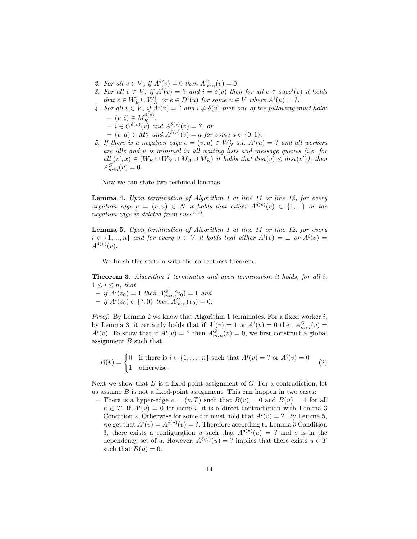- 2. For all  $v \in V$ , if  $A^{i}(v) = 0$  then  $A_{min}^{G}(v) = 0$ .
- 3. For all  $v \in V$ , if  $A^{i}(v) = ?$  and  $i = \delta(v)$  then for all  $e \in succ^{i}(v)$  it holds that  $e \in W_E^i \cup W_N^i$  or  $e \in D^i(u)$  for some  $u \in V$  where  $A^i(u) = ?$ .
- 4. For all  $v \in V$ , if  $A^{i}(v) = ?$  and  $i \neq \delta(v)$  then one of the following must hold:  $- (v, i) \in M_R^{\delta(v)},$  $-i \in C^{\delta(v)}(v)$  and  $A^{\delta(v)}(v) = ?$ , or
	-
	- $(v, a) \in M_A^i$  and  $A^{\delta(v)}(v) = a$  for some  $a \in \{0, 1\}.$
- 5. If there is a negation edge  $e = (v, u) \in W_N^i$  s.t.  $A^i(u) = ?$  and all workers are idle and v is minimal in all waiting lists and message queues (i.e. for all  $(v',x) \in (W_E \cup W_N \cup M_A \cup M_R)$  it holds that  $dist(v) \leq dist(v')$ , then  $A_{min}^G(u) = 0.$

Now we can state two technical lemmas.

**Lemma 4.** Upon termination of Algorithm 1 at line 11 or line 12, for every negation edge  $e = (v, u) \in N$  it holds that either  $A^{\delta(v)}(v) \in \{1, \perp\}$  or the negation edge is deleted from  $succ^{\delta(v)}$ .

**Lemma 5.** Upon termination of Algorithm 1 at line 11 or line 12, for every  $i \in \{1, ..., n\}$  and for every  $v \in V$  it holds that either  $A^i(v) = \perp$  or  $A^i(v) =$  $A^{\delta(v)}(v)$ .

We finish this section with the correctness theorem.

Theorem 3. Algorithm 1 terminates and upon termination it holds, for all i,  $1 \leq i \leq n$ , that

 $-$  if  $A^i(v_0) = 1$  then  $A_{min}^G(v_0) = 1$  and  $-$  if  $A^i(v_0) \in \{?,0\}$  then  $A_{min}^G(v_0) = 0$ .

*Proof.* By Lemma 2 we know that Algorithm 1 terminates. For a fixed worker  $i$ , by Lemma 3, it certainly holds that if  $A^i(v) = 1$  or  $A^i(v) = 0$  then  $A^G_{min}(v) = 0$  $A^i(v)$ . To show that if  $A^i(v) = ?$  then  $A_{min}^G(v) = 0$ , we first construct a global assignment B such that

$$
B(v) = \begin{cases} 0 & \text{if there is } i \in \{1, \dots, n\} \text{ such that } A^i(v) = ? \text{ or } A^i(v) = 0\\ 1 & \text{otherwise.} \end{cases}
$$
 (2)

Next we show that  $B$  is a fixed-point assignment of  $G$ . For a contradiction, let us assume  $B$  is not a fixed-point assignment. This can happen in two cases:

– There is a hyper-edge  $e = (v, T)$  such that  $B(v) = 0$  and  $B(u) = 1$  for all  $u \in T$ . If  $A^{i}(v) = 0$  for some *i*, it is a direct contradiction with Lemma 3 Condition 2. Otherwise for some *i* it must hold that  $A^{i}(v) = ?$ . By Lemma 5, we get that  $A^{i}(v) = A^{\delta(v)}(v) = ?$ . Therefore according to Lemma 3 Condition 3, there exists a configuration u such that  $A^{\delta(v)}(u) = ?$  and e is in the dependency set of u. However,  $A^{\delta(v)}(u) = ?$  implies that there exists  $u \in T$ such that  $B(u) = 0$ .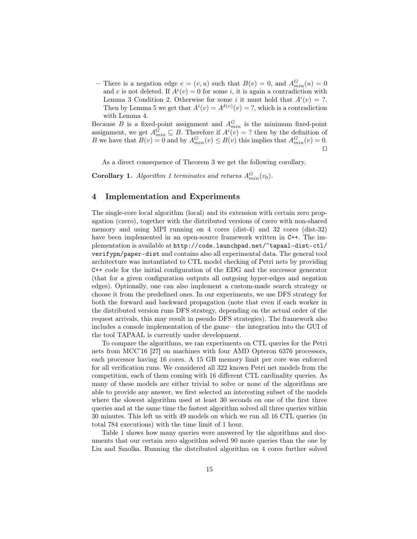- There is a negation edge  $e = (v, u)$  such that  $B(v) = 0$ , and  $A_{min}^G(u) = 0$ and e is not deleted. If  $A^{i}(v) = 0$  for some *i*, it is again a contradiction with Lemma 3 Condition 2. Otherwise for some i it must hold that  $A^{i}(v) = ?$ . Then by Lemma 5 we get that  $A^{i}(v) = A^{\delta(v)}(v) = ?$ , which is a contradiction with Lemma 4.

Because B is a fixed-point assignment and  $A_{min}^G$  is the minimum fixed-point assignment, we get  $A_{min}^G \sqsubseteq B$ . Therefore if  $A^i(v) = ?$  then by the definition of B we have that  $B(v) = 0$  and by  $A_{min}^G(v) \le B(v)$  this implies that  $A_{min}^G(v) = 0$ .  $\Box$ 

As a direct consequence of Theorem 3 we get the following corollary.

**Corollary 1.** Algorithm 1 terminates and returns  $A_{min}^G(v_0)$ .

## 4 Implementation and Experiments

The single-core local algorithm (local) and its extension with certain zero propagation (czero), together with the distributed versions of czero with non-shared memory and using MPI running on 4 cores (dist-4) and 32 cores (dist-32) have been implemented in an open-source framework written in  $C++$ . The implementation is available at http://code.launchpad.net/~tapaal-dist-ctl/ verifypn/paper-dist and contains also all experimental data. The general tool architecture was instantiated to CTL model checking of Petri nets by providing C++ code for the initial configuration of the EDG and the successor generator (that for a given configuration outputs all outgoing hyper-edges and negation edges). Optionally, one can also implement a custom-made search strategy or choose it from the predefined ones. In our experiments, we use DFS strategy for both the forward and backward propagation (note that even if each worker in the distributed version runs DFS strategy, depending on the actual order of the request arrivals, this may result in pseudo DFS strategies). The framework also includes a console implementation of the game—the integration into the GUI of the tool TAPAAL is currently under development.

To compare the algorithms, we ran experiments on CTL queries for the Petri nets from MCC'16 [27] on machines with four AMD Opteron 6376 processors, each processor having 16 cores. A 15 GB memory limit per core was enforced for all verification runs. We considered all 322 known Petri net models from the competition, each of them coming with 16 different CTL cardinality queries. As many of these models are either trivial to solve or none of the algorithms are able to provide any answer, we first selected an interesting subset of the models where the slowest algorithm used at least 30 seconds on one of the first three queries and at the same time the fastest algorithm solved all three queries within 30 minutes. This left us with 49 models on which we run all 16 CTL queries (in total 784 executions) with the time limit of 1 hour.

Table 1 shows how many queries were answered by the algorithms and documents that our certain zero algorithm solved 90 more queries than the one by Liu and Smolka. Running the distributed algorithm on 4 cores further solved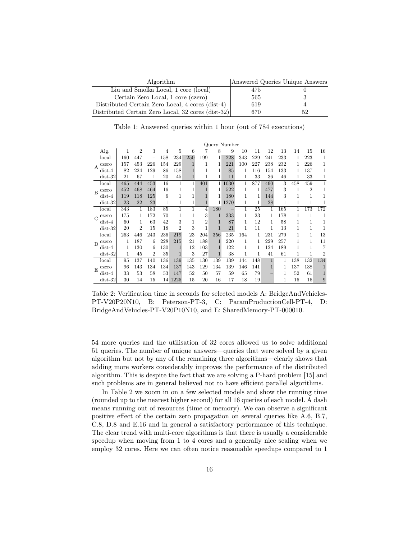| Algorithm                                          | Answered Queries Unique Answers |    |
|----------------------------------------------------|---------------------------------|----|
| Liu and Smolka Local, 1 core (local)               | 475                             |    |
| Certain Zero Local, 1 core (czero)                 | 565                             |    |
| Distributed Certain Zero Local, 4 cores (dist-4)   | 619                             |    |
| Distributed Certain Zero Local, 32 cores (dist-32) | 670                             | 52 |

Table 1: Answered queries within 1 hour (out of 784 executions)

|                | Query Number |     |                |                          |     |                |     |                |              |      |     |     |                |     |              |                |              |
|----------------|--------------|-----|----------------|--------------------------|-----|----------------|-----|----------------|--------------|------|-----|-----|----------------|-----|--------------|----------------|--------------|
|                | Alg.         | 1   | $\overline{2}$ | 3                        | 4   | 5              | 6   |                | 8            | 9    | 10  | 11  | 12             | 13  | 14           | 15             | 16           |
|                | local        | 160 | 447            | $\overline{\phantom{0}}$ | 158 | 234            | 250 | 199            | 1            | 228  | 343 | 229 | 241            | 233 | 1            | 223            | $\mathbf{1}$ |
|                | czero        | 157 | 453            | 226                      | 154 | 229            | 1   | 1              | 1            | 221  | 100 | 227 | 238            | 232 |              | 226            | 1            |
|                | $dist-4$     | 82  | 224            | 129                      | 86  | 158            |     | 1              | 1            | 85   | 1   | 116 | 154            | 133 |              | 137            | 1            |
|                | $dist-32$    | 21  | 67             | 1                        | 20  | 45             | 1   | $\mathbf{1}$   | 1            | 11   | 1   | 33  | 36             | 46  | 1            | 33             | 1            |
| $\overline{B}$ | local        | 465 | 444            | 453                      | 16  | 1              | 1   | 401            | 1            | 1030 | 1   | 877 | 490            | 3   | 458          | 459            | $\mathbf{1}$ |
|                | czero        | 452 | 468            | 464                      | 16  | 1              | 1   |                | 1            | 522  |     | 1   | 477            | 3   | 1            | $\overline{2}$ | 1            |
|                | $dist-4$     | 119 | 118            | 125                      | 6   | 1              | 1   |                | 1            | 180  |     | 1   | 144            | 3   | 1            | 1              |              |
|                | $dist-32$    | 23  | 22             | 23                       | 1   | 1              | 1   | $\mathbf 1$    | 1            | 1270 | 1   | 1   | 28             | 1   | $\mathbf{1}$ | 1              |              |
|                | local        | 343 | 1              | 183                      | 85  | 1              | 1   | 4              | 180          |      | 1   | 25  | 1              | 165 | $\mathbf{1}$ | 173            | 172          |
|                | czero        | 175 |                | 172                      | 70  | 1              | 1   | 3              | 1            | 333  |     | 23  | 1              | 178 |              |                |              |
|                | $dist-4$     | 60  |                | 63                       | 42  | 3              | 1   | $\overline{2}$ | 1            | 87   | 1   | 12  | 1              | 58  | 1            | 1              | 1            |
|                | $dist-32$    | 20  | $\overline{2}$ | 15                       | 18  | $\overline{2}$ | 3   | 1              | 1            | 21   | 1   | 11  | 1              | 13  | 1            | 1              | 1            |
|                | local        | 263 | 446            | 243                      | 236 | 219            | 23  | 204            | 356          | 235  | 164 | 1   | 231            | 279 | 1            | 1              | 13           |
| <sub>D</sub>   | czero        |     | 187            | 6                        | 228 | 215            | 21  | 188            | 1            | 220  |     |     | 229            | 257 |              | 1              | 11           |
|                | $dist-4$     |     | 130            | 6                        | 130 |                | 12  | 103            | 1            | 122  | 1   | 1   | 124            | 189 | 1            | 1              | 7            |
|                | $dist-32$    | 1   | 45             | $\overline{2}$           | 35  | 1              | 3   | 27             | $\mathbf{1}$ | 38   | 1   | 1   | 41             | 61  | 1            | 1              | 2            |
| E,             | local        | 95  | 137            | 140                      | 136 | 139            | 135 | 130            | 139          | 139  | 144 | 148 | $\overline{1}$ | 1   | 138          | 132            | 134          |
|                | czero        | 96  | 143            | 134                      | 134 | 137            | 143 | 129            | 134          | 139  | 146 | 141 | 1              | 1   | 137          | 138            | $\mathbf{1}$ |
|                | $dist-4$     | 33  | 53             | 58                       | 53  | 147            | 52  | 50             | 57           | 59   | 65  | 79  |                | 1   | 52           | 61             | $\mathbf{1}$ |
|                | $dist-32$    | 30  | 14             | 15                       | 14  | 1225           | 15  | 20             | 16           | 17   | 18  | 19  |                | 1   | 16           | 16             | 9            |

Table 2: Verification time in seconds for selected models A: BridgeAndVehicles-PT-V20P20N10, B: Peterson-PT-3, C: ParamProductionCell-PT-4, D: BridgeAndVehicles-PT-V20P10N10, and E: SharedMemory-PT-000010.

54 more queries and the utilisation of 32 cores allowed us to solve additional 51 queries. The number of unique answers—queries that were solved by a given algorithm but not by any of the remaining three algorithms—clearly shows that adding more workers considerably improves the performance of the distributed algorithm. This is despite the fact that we are solving a P-hard problem [15] and such problems are in general believed not to have efficient parallel algorithms.

In Table 2 we zoom in on a few selected models and show the running time (rounded up to the nearest higher second) for all 16 queries of each model. A dash means running out of resources (time or memory). We can observe a significant positive effect of the certain zero propagation on several queries like A.6, B.7, C.8, D.8 and E.16 and in general a satisfactory performance of this technique. The clear trend with multi-core algorithms is that there is usually a considerable speedup when moving from 1 to 4 cores and a generally nice scaling when we employ 32 cores. Here we can often notice reasonable speedups compared to 1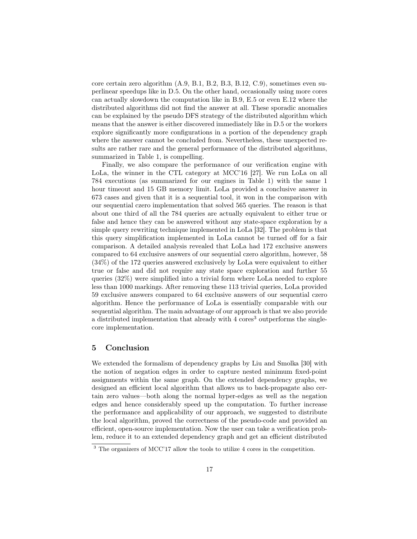core certain zero algorithm (A.9, B.1, B.2, B.3, B.12, C.9), sometimes even superlinear speedups like in D.5. On the other hand, occasionally using more cores can actually slowdown the computation like in B.9, E.5 or even E.12 where the distributed algorithms did not find the answer at all. These sporadic anomalies can be explained by the pseudo DFS strategy of the distributed algorithm which means that the answer is either discovered immediately like in D.5 or the workers explore significantly more configurations in a portion of the dependency graph where the answer cannot be concluded from. Nevertheless, these unexpected results are rather rare and the general performance of the distributed algorithms, summarized in Table 1, is compelling.

Finally, we also compare the performance of our verification engine with LoLa, the winner in the CTL category at MCC'16 [27]. We run LoLa on all 784 executions (as summarized for our engines in Table 1) with the same 1 hour timeout and 15 GB memory limit. LoLa provided a conclusive answer in 673 cases and given that it is a sequential tool, it won in the comparison with our sequential czero implementation that solved 565 queries. The reason is that about one third of all the 784 queries are actually equivalent to either true or false and hence they can be answered without any state-space exploration by a simple query rewriting technique implemented in LoLa [32]. The problem is that this query simplification implemented in LoLa cannot be turned off for a fair comparison. A detailed analysis revealed that LoLa had 172 exclusive answers compared to 64 exclusive answers of our sequential czero algorithm, however, 58 (34%) of the 172 queries answered exclusively by LoLa were equivalent to either true or false and did not require any state space exploration and further 55 queries (32%) were simplified into a trivial form where LoLa needed to explore less than 1000 markings. After removing these 113 trivial queries, LoLa provided 59 exclusive answers compared to 64 exclusive answers of our sequential czero algorithm. Hence the performance of LoLa is essentially comparable with our sequential algorithm. The main advantage of our approach is that we also provide a distributed implementation that already with  $4 \text{ cores}^3$  outperforms the singlecore implementation.

## 5 Conclusion

We extended the formalism of dependency graphs by Liu and Smolka [30] with the notion of negation edges in order to capture nested minimum fixed-point assignments within the same graph. On the extended dependency graphs, we designed an efficient local algorithm that allows us to back-propagate also certain zero values—both along the normal hyper-edges as well as the negation edges and hence considerably speed up the computation. To further increase the performance and applicability of our approach, we suggested to distribute the local algorithm, proved the correctness of the pseudo-code and provided an efficient, open-source implementation. Now the user can take a verification problem, reduce it to an extended dependency graph and get an efficient distributed

<sup>&</sup>lt;sup>3</sup> The organizers of MCC'17 allow the tools to utilize 4 cores in the competition.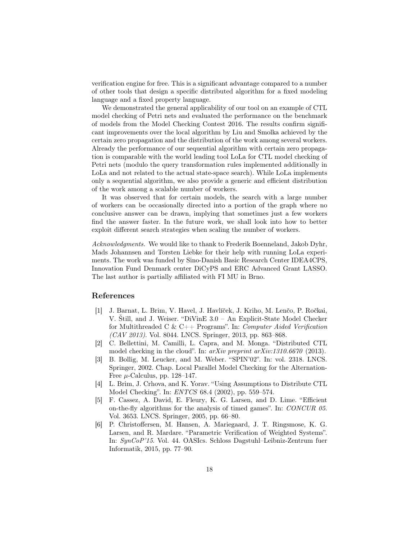verification engine for free. This is a significant advantage compared to a number of other tools that design a specific distributed algorithm for a fixed modeling language and a fixed property language.

We demonstrated the general applicability of our tool on an example of CTL model checking of Petri nets and evaluated the performance on the benchmark of models from the Model Checking Contest 2016. The results confirm significant improvements over the local algorithm by Liu and Smolka achieved by the certain zero propagation and the distribution of the work among several workers. Already the performance of our sequential algorithm with certain zero propagation is comparable with the world leading tool LoLa for CTL model checking of Petri nets (modulo the query transformation rules implemented additionally in LoLa and not related to the actual state-space search). While LoLa implements only a sequential algorithm, we also provide a generic and efficient distribution of the work among a scalable number of workers.

It was observed that for certain models, the search with a large number of workers can be occasionally directed into a portion of the graph where no conclusive answer can be drawn, implying that sometimes just a few workers find the answer faster. In the future work, we shall look into how to better exploit different search strategies when scaling the number of workers.

Acknowledgments. We would like to thank to Frederik Boenneland, Jakob Dyhr, Mads Johannsen and Torsten Liebke for their help with running LoLa experiments. The work was funded by Sino-Danish Basic Research Center IDEA4CPS, Innovation Fund Denmark center DiCyPS and ERC Advanced Grant LASSO. The last author is partially affiliated with FI MU in Brno.

## References

- [1] J. Barnat, L. Brim, V. Havel, J. Havlíček, J. Kriho, M. Lenčo, P. Ročkai, V. Štill, and J. Weiser. "DiVinE 3.0 – An Explicit-State Model Checker for Multithreaded C & C++ Programs". In: Computer Aided Verification  $(CAV 2013)$ . Vol. 8044. LNCS. Springer, 2013, pp. 863–868.
- [2] C. Bellettini, M. Camilli, L. Capra, and M. Monga. "Distributed CTL model checking in the cloud". In: arXiv preprint arXiv:1310.6670 (2013).
- [3] B. Bollig, M. Leucker, and M. Weber. "SPIN'02". In: vol. 2318. LNCS. Springer, 2002. Chap. Local Parallel Model Checking for the Alternation-Free  $\mu$ -Calculus, pp. 128–147.
- [4] L. Brim, J. Crhova, and K. Yorav. "Using Assumptions to Distribute CTL Model Checking". In: ENTCS 68.4 (2002), pp. 559–574.
- [5] F. Cassez, A. David, E. Fleury, K. G. Larsen, and D. Lime. "Efficient on-the-fly algorithms for the analysis of timed games". In: CONCUR 05. Vol. 3653. LNCS. Springer, 2005, pp. 66–80.
- [6] P. Christoffersen, M. Hansen, A. Mariegaard, J. T. Ringsmose, K. G. Larsen, and R. Mardare. "Parametric Verification of Weighted Systems". In: SynCoP'15. Vol. 44. OASIcs. Schloss Dagstuhl–Leibniz-Zentrum fuer Informatik, 2015, pp. 77–90.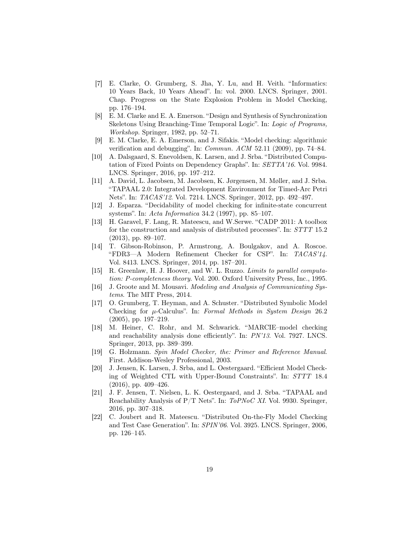- [7] E. Clarke, O. Grumberg, S. Jha, Y. Lu, and H. Veith. "Informatics: 10 Years Back, 10 Years Ahead". In: vol. 2000. LNCS. Springer, 2001. Chap. Progress on the State Explosion Problem in Model Checking, pp. 176–194.
- [8] E. M. Clarke and E. A. Emerson. "Design and Synthesis of Synchronization Skeletons Using Branching-Time Temporal Logic". In: Logic of Programs, Workshop. Springer, 1982, pp. 52–71.
- [9] E. M. Clarke, E. A. Emerson, and J. Sifakis. "Model checking: algorithmic verification and debugging". In: Commun. ACM 52.11 (2009), pp. 74–84.
- [10] A. Dalsgaard, S. Enevoldsen, K. Larsen, and J. Srba. "Distributed Computation of Fixed Points on Dependency Graphs". In: SETTA'16. Vol. 9984. LNCS. Springer, 2016, pp. 197–212.
- [11] A. David, L. Jacobsen, M. Jacobsen, K. Jørgensen, M. Møller, and J. Srba. "TAPAAL 2.0: Integrated Development Environment for Timed-Arc Petri Nets". In: TACAS'12. Vol. 7214. LNCS. Springer, 2012, pp. 492–497.
- [12] J. Esparza. "Decidability of model checking for infinite-state concurrent systems". In: Acta Informatica 34.2 (1997), pp. 85–107.
- [13] H. Garavel, F. Lang, R. Mateescu, and W.Serwe. "CADP 2011: A toolbox for the construction and analysis of distributed processes". In: STTT 15.2 (2013), pp. 89–107.
- [14] T. Gibson-Robinson, P. Armstrong, A. Boulgakov, and A. Roscoe. "FDR3—A Modern Refinement Checker for CSP". In: TACAS'14. Vol. 8413. LNCS. Springer, 2014, pp. 187–201.
- [15] R. Greenlaw, H. J. Hoover, and W. L. Ruzzo. Limits to parallel computation: P-completeness theory. Vol. 200. Oxford University Press, Inc., 1995.
- [16] J. Groote and M. Mousavi. Modeling and Analysis of Communicating Systems. The MIT Press, 2014.
- [17] O. Grumberg, T. Heyman, and A. Schuster. "Distributed Symbolic Model Checking for  $\mu$ -Calculus". In: Formal Methods in System Design 26.2 (2005), pp. 197–219.
- [18] M. Heiner, C. Rohr, and M. Schwarick. "MARCIE–model checking and reachability analysis done efficiently". In: PN'13. Vol. 7927. LNCS. Springer, 2013, pp. 389–399.
- [19] G. Holzmann. Spin Model Checker, the: Primer and Reference Manual. First. Addison-Wesley Professional, 2003.
- [20] J. Jensen, K. Larsen, J. Srba, and L. Oestergaard. "Efficient Model Checking of Weighted CTL with Upper-Bound Constraints". In: STTT 18.4 (2016), pp. 409–426.
- [21] J. F. Jensen, T. Nielsen, L. K. Oestergaard, and J. Srba. "TAPAAL and Reachability Analysis of P/T Nets". In: ToPNoC XI. Vol. 9930. Springer, 2016, pp. 307–318.
- [22] C. Joubert and R. Mateescu. "Distributed On-the-Fly Model Checking and Test Case Generation". In: SPIN'06. Vol. 3925. LNCS. Springer, 2006, pp. 126–145.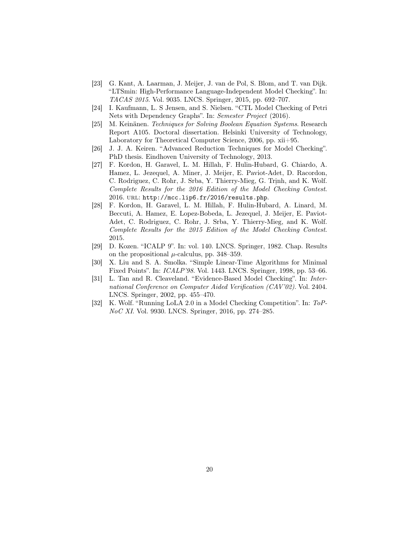- [23] G. Kant, A. Laarman, J. Meijer, J. van de Pol, S. Blom, and T. van Dijk. "LTSmin: High-Performance Language-Independent Model Checking". In: TACAS 2015. Vol. 9035. LNCS. Springer, 2015, pp. 692–707.
- [24] I. Kaufmann, L. S Jensen, and S. Nielsen. "CTL Model Checking of Petri Nets with Dependency Graphs". In: Semester Project (2016).
- [25] M. Keinänen. Techniques for Solving Boolean Equation Systems. Research Report A105. Doctoral dissertation. Helsinki University of Technology, Laboratory for Theoretical Computer Science, 2006, pp. xii+95.
- [26] J. J. A. Keiren. "Advanced Reduction Techniques for Model Checking". PhD thesis. Eindhoven University of Technology, 2013.
- [27] F. Kordon, H. Garavel, L. M. Hillah, F. Hulin-Hubard, G. Chiardo, A. Hamez, L. Jezequel, A. Miner, J. Meijer, E. Paviot-Adet, D. Racordon, C. Rodriguez, C. Rohr, J. Srba, Y. Thierry-Mieg, G. Trinh, and K. Wolf. Complete Results for the 2016 Edition of the Model Checking Contest. 2016. url: http://mcc.lip6.fr/2016/results.php.
- [28] F. Kordon, H. Garavel, L. M. Hillah, F. Hulin-Hubard, A. Linard, M. Beccuti, A. Hamez, E. Lopez-Bobeda, L. Jezequel, J. Meijer, E. Paviot-Adet, C. Rodriguez, C. Rohr, J. Srba, Y. Thierry-Mieg, and K. Wolf. Complete Results for the 2015 Edition of the Model Checking Contest. 2015.
- [29] D. Kozen. "ICALP 9". In: vol. 140. LNCS. Springer, 1982. Chap. Results on the propositional  $\mu$ -calculus, pp. 348–359.
- [30] X. Liu and S. A. Smolka. "Simple Linear-Time Algorithms for Minimal Fixed Points". In: ICALP'98. Vol. 1443. LNCS. Springer, 1998, pp. 53–66.
- [31] L. Tan and R. Cleaveland. "Evidence-Based Model Checking". In: International Conference on Computer Aided Verification (CAV'02). Vol. 2404. LNCS. Springer, 2002, pp. 455–470.
- [32] K. Wolf. "Running LoLA 2.0 in a Model Checking Competition". In: ToP-NoC XI. Vol. 9930. LNCS. Springer, 2016, pp. 274–285.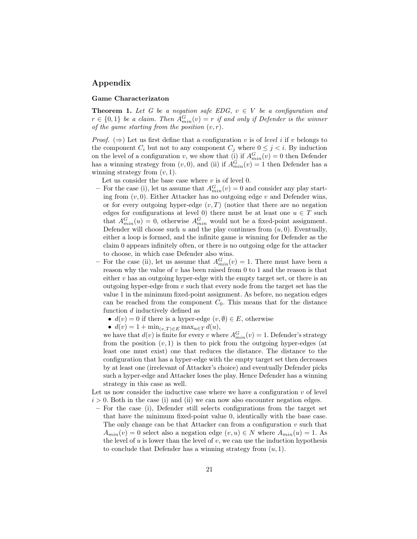## Appendix

#### Game Characterizaton

**Theorem 1.** Let G be a negation safe EDG,  $v \in V$  be a configuration and  $r \in \{0,1\}$  be a claim. Then  $A_{min}^G(v) = r$  if and only if Defender is the winner of the game starting from the position  $(v, r)$ .

*Proof.*  $(\Rightarrow)$  Let us first define that a configuration v is of level i if v belongs to the component  $C_i$  but not to any component  $C_j$  where  $0 \leq j \leq i$ . By induction on the level of a configuration v, we show that (i) if  $A_{min}^G(v) = 0$  then Defender has a winning strategy from  $(v, 0)$ , and (ii) if  $A_{min}^G(v) = 1$  then Defender has a winning strategy from  $(v, 1)$ .

Let us consider the base case where  $v$  is of level 0.

- For the case (i), let us assume that  $A_{min}^G(v) = 0$  and consider any play starting from  $(v, 0)$ . Either Attacker has no outgoing edge v and Defender wins, or for every outgoing hyper-edge  $(v, T)$  (notice that there are no negation edges for configurations at level 0) there must be at least one  $u \in T$  such that  $A_{min}^G(u) = 0$ , otherwise  $A_{min}^G$  would not be a fixed-point assignment. Defender will choose such u and the play continues from  $(u, 0)$ . Eventually, either a loop is formed, and the infinite game is winning for Defender as the claim 0 appears infinitely often, or there is no outgoing edge for the attacker to choose, in which case Defender also wins.
- For the case (ii), let us assume that  $A_{min}^G(v) = 1$ . There must have been a reason why the value of  $v$  has been raised from  $0$  to  $1$  and the reason is that either  $v$  has an outgoing hyper-edge with the empty target set, or there is an outgoing hyper-edge from  $v$  such that every node from the target set has the value 1 in the minimum fixed-point assignment. As before, no negation edges can be reached from the component  $C_0$ . This means that for the distance function d inductively defined as
	- $d(v) = 0$  if there is a hyper-edge  $(v, \emptyset) \in E$ , otherwise
	- $d(v) = 1 + \min_{(v,T) \in E} \max_{u \in T} d(u),$

we have that  $d(v)$  is finite for every v where  $A_{min}^G(v) = 1$ . Defender's strategy from the position  $(v, 1)$  is then to pick from the outgoing hyper-edges (at least one must exist) one that reduces the distance. The distance to the configuration that has a hyper-edge with the empty target set then decreases by at least one (irrelevant of Attacker's choice) and eventually Defender picks such a hyper-edge and Attacker loses the play. Hence Defender has a winning strategy in this case as well.

Let us now consider the inductive case where we have a configuration  $v$  of level  $i > 0$ . Both in the case (i) and (ii) we can now also encounter negation edges.

– For the case (i), Defender still selects configurations from the target set that have the minimum fixed-point value 0, identically with the base case. The only change can be that Attacker can from a configuration  $v$  such that  $A_{min}(v) = 0$  select also a negation edge  $(v, u) \in N$  where  $A_{min}(u) = 1$ . As the level of  $u$  is lower than the level of  $v$ , we can use the induction hypothesis to conclude that Defender has a winning strategy from  $(u, 1)$ .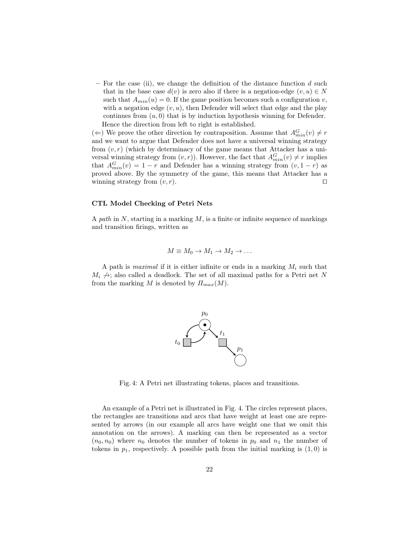– For the case (ii), we change the definition of the distance function d such that in the base case  $d(v)$  is zero also if there is a negation-edge  $(v, u) \in N$ such that  $A_{min}(u) = 0$ . If the game position becomes such a configuration v, with a negation edge  $(v, u)$ , then Defender will select that edge and the play continues from  $(u, 0)$  that is by induction hypothesis winning for Defender. Hence the direction from left to right is established.

(  $\Leftarrow$  ) We prove the other direction by contraposition. Assume that  $A_{min}^G(v) ≠ r$ and we want to argue that Defender does not have a universal winning strategy from  $(v, r)$  (which by determinacy of the game means that Attacker has a universal winning strategy from  $(v, r)$ ). However, the fact that  $A_{min}^G(v) \neq r$  implies that  $A_{min}^G(v) = 1 - r$  and Defender has a winning strategy from  $(v, 1 - r)$  as proved above. By the symmetry of the game, this means that Attacker has a winning strategy from  $(v, r)$ .

#### CTL Model Checking of Petri Nets

A path in N, starting in a marking  $M$ , is a finite or infinite sequence of markings and transition firings, written as

$$
M \equiv M_0 \to M_1 \to M_2 \to \dots
$$

A path is maximal if it is either infinite or ends in a marking  $M_i$  such that  $M_i \nightharpoonup$ ; also called a deadlock. The set of all maximal paths for a Petri net N from the marking M is denoted by  $\Pi_{max}(M)$ .



Fig. 4: A Petri net illustrating tokens, places and transitions.

An example of a Petri net is illustrated in Fig. 4. The circles represent places, the rectangles are transitions and arcs that have weight at least one are represented by arrows (in our example all arcs have weight one that we omit this annotation on the arrows). A marking can then be represented as a vector  $(n_0, n_0)$  where  $n_0$  denotes the number of tokens in  $p_0$  and  $n_1$  the number of tokens in  $p_1$ , respectively. A possible path from the initial marking is  $(1, 0)$  is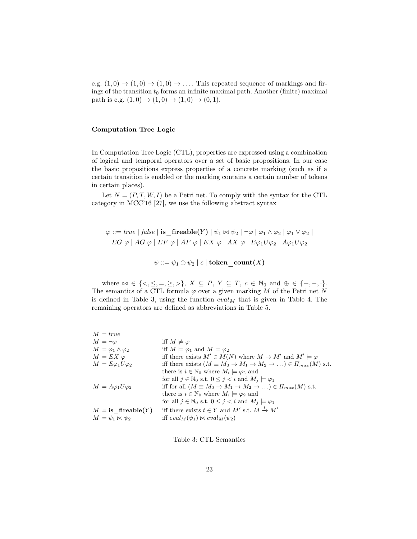e.g.  $(1,0) \rightarrow (1,0) \rightarrow (1,0) \rightarrow \ldots$  This repeated sequence of markings and firings of the transition  $t_0$  forms an infinite maximal path. Another (finite) maximal path is e.g.  $(1, 0) \rightarrow (1, 0) \rightarrow (1, 0) \rightarrow (0, 1)$ .

## Computation Tree Logic

In Computation Tree Logic (CTL), properties are expressed using a combination of logical and temporal operators over a set of basic propositions. In our case the basic propositions express properties of a concrete marking (such as if a certain transition is enabled or the marking contains a certain number of tokens in certain places).

Let  $N = (P, T, W, I)$  be a Petri net. To comply with the syntax for the CTL category in MCC'16 [27], we use the following abstract syntax

 $\varphi ::= true | false |$  is fireable(Y)  $| \psi_1 \bowtie \psi_2 | \neg \varphi | \varphi_1 \wedge \varphi_2 | \varphi_1 \vee \varphi_2 |$  $EG \varphi$  | AG  $\varphi$  | EF  $\varphi$  | AF  $\varphi$  | EX  $\varphi$  | AX  $\varphi$  | E $\varphi_1 U \varphi_2$  | A $\varphi_1 U \varphi_2$ 

 $\psi ::= \psi_1 \oplus \psi_2 \mid c \mid \textbf{token} \quad \textbf{count}(X)$ 

where  $\bowtie \in \{<,\leq,=,\geq,>\}, X \subseteq P, Y \subseteq T, c \in \mathbb{N}_0 \text{ and } \oplus \in \{+,-, \cdot\}.$ The semantics of a CTL formula  $\varphi$  over a given marking M of the Petri net N is defined in Table 3, using the function  $eval_M$  that is given in Table 4. The remaining operators are defined as abbreviations in Table 5.

| $M \models true$                       |                                                                                                            |
|----------------------------------------|------------------------------------------------------------------------------------------------------------|
| $M \models \neg \varphi$               | iff $M \not\models \varphi$                                                                                |
| $M \models \varphi_1 \wedge \varphi_2$ | iff $M \models \varphi_1$ and $M \models \varphi_2$                                                        |
| $M \models EX \varphi$                 | iff there exists $M' \in M(N)$ where $M \to M'$ and $M' \models \varphi$                                   |
| $M \models E\varphi_1 U \varphi_2$     | iff there exists $(M \equiv M_0 \rightarrow M_1 \rightarrow M_2 \rightarrow \ldots) \in \Pi_{max}(M)$ s.t. |
|                                        | there is $i \in \mathbb{N}_0$ where $M_i \models \varphi_2$ and                                            |
|                                        | for all $j \in \mathbb{N}_0$ s.t. $0 \leq j \leq i$ and $M_i \models \varphi_1$                            |
| $M \models A\varphi_1 U \varphi_2$     | iff for all $(M \equiv M_0 \rightarrow M_1 \rightarrow M_2 \rightarrow \ldots) \in \Pi_{max}(M)$ s.t.      |
|                                        | there is $i \in \mathbb{N}_0$ where $M_i \models \varphi_2$ and                                            |
|                                        | for all $j \in \mathbb{N}_0$ s.t. $0 \leq j < i$ and $M_j \models \varphi_1$                               |
| $M \models$ is fireable(Y)             | iff there exists $t \in Y$ and M' s.t. $M \stackrel{t}{\rightarrow} M'$                                    |
| $M \models \psi_1 \bowtie \psi_2$      | iff $eval_M(\psi_1) \bowtie eval_M(\psi_2)$                                                                |
|                                        |                                                                                                            |

Table 3: CTL Semantics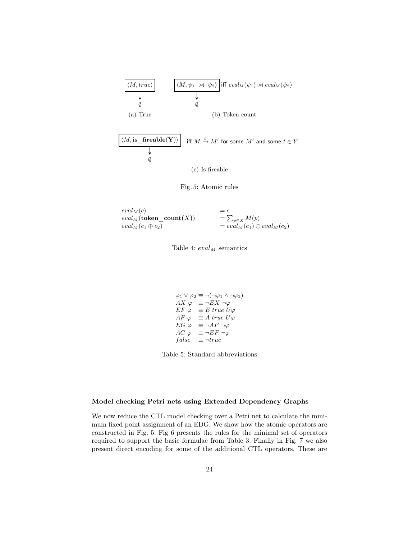

Fig. 5: Atomic rules

| $eval_M(c)$                   | $= c$                          |
|-------------------------------|--------------------------------|
| $eval_M$ (token count $(X)$ ) | $=\sum_{p\in X} M(p)$          |
| $eval_M(e_1 \oplus e_2)$      | $= evalM(e1) \oplus evalM(e2)$ |

Table 4:  $eval_M$  semantics

 $\varphi_1 \vee \varphi_2 \equiv \neg(\neg \varphi_1 \wedge \neg \varphi_2)$  $AX \varphi \equiv \neg EX \neg \varphi$  $EF \varphi \equiv E \; true \; U \varphi$  $AF \varphi \equiv A \; true \; U \varphi$  $EG \varphi \equiv \neg AF \neg \varphi$  $AG \varphi \equiv \neg EF \neg \varphi$  $false \equiv \neg true$ 

Table 5: Standard abbreviations

## Model checking Petri nets using Extended Dependency Graphs

We now reduce the CTL model checking over a Petri net to calculate the minimum fixed point assignment of an EDG. We show how the atomic operators are constructed in Fig. 5. Fig 6 presents the rules for the minimal set of operators required to support the basic formulae from Table 3. Finally in Fig. 7 we also present direct encoding for some of the additional CTL operators. These are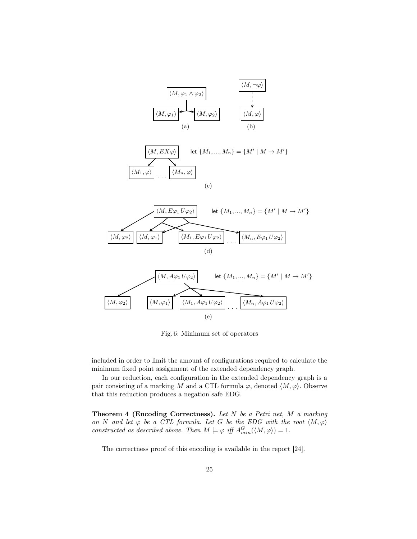







Fig. 6: Minimum set of operators

included in order to limit the amount of configurations required to calculate the minimum fixed point assignment of the extended dependency graph.

In our reduction, each configuration in the extended dependency graph is a pair consisting of a marking M and a CTL formula  $\varphi$ , denoted  $\langle M, \varphi \rangle$ . Observe that this reduction produces a negation safe EDG.

**Theorem 4 (Encoding Correctness).** Let  $N$  be a Petri net,  $M$  a marking on N and let  $\varphi$  be a CTL formula. Let G be the EDG with the root  $\langle M, \varphi \rangle$ constructed as described above. Then  $M \models \varphi$  iff  $A_{min}^G(\langle M, \varphi \rangle) = 1$ .

The correctness proof of this encoding is available in the report [24].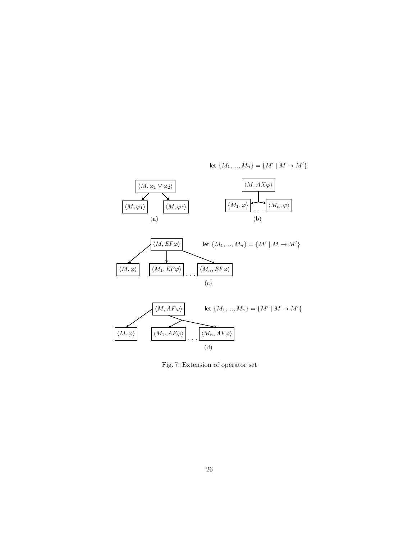

Fig. 7: Extension of operator set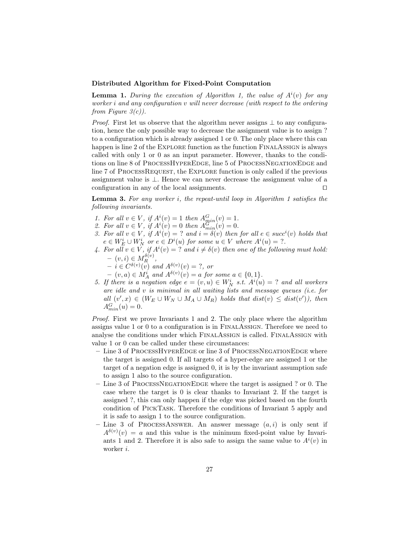#### Distributed Algorithm for Fixed-Point Computation

**Lemma 1.** During the execution of Algorithm 1, the value of  $A^{i}(v)$  for any worker i and any configuration v will never decrease (with respect to the ordering from Figure  $3(c)$ ).

*Proof.* First let us observe that the algorithm never assigns  $\perp$  to any configuration, hence the only possible way to decrease the assignment value is to assign ? to a configuration which is already assigned 1 or 0. The only place where this can happen is line 2 of the EXPLORE function as the function FINALASSIGN is always called with only 1 or 0 as an input parameter. However, thanks to the conditions on line 8 of PROCESSHYPEREDGE, line 5 of PROCESSNEGATIONEDGE and line 7 of PROCESSREQUEST, the EXPLORE function is only called if the previous assignment value is ⊥. Hence we can never decrease the assignment value of a configuration in any of the local assignments.  $\Box$ 

Lemma 3. For any worker i, the repeat-until loop in Algorithm 1 satisfies the following invariants.

- 1. For all  $v \in V$ , if  $A^i(v) = 1$  then  $A^G_{min}(v) = 1$ .
- 2. For all  $v \in V$ , if  $A^i(v) = 0$  then  $A_{min}^{G^{(i)}}(v) = 0$ .
- 3. For all  $v \in V$ , if  $A^i(v) = ?$  and  $i = \delta(v)$  then for all  $e \in succ^i(v)$  holds that  $e \in W_E^i \cup W_N^i$  or  $e \in D^i(u)$  for some  $u \in V$  where  $A^i(u) = ?$ .
- 4. For all  $v \in V$ , if  $A^i(v) = ?$  and  $i \neq \delta(v)$  then one of the following must hold:  $- (v, i) \in M_R^{\delta(v)},$ 
	- $-i \in C^{\delta(v)}(v)$  and  $A^{\delta(v)}(v) = ?$ , or
	- $(v, a) \in M_A^i$  and  $A^{\delta(v)}(v) = a$  for some  $a \in \{0, 1\}.$
- 5. If there is a negation edge  $e = (v, u) \in W_N^i$  s.t.  $A^i(u) = ?$  and all workers are idle and v is minimal in all waiting lists and message queues (i.e. for all  $(v',x) \in (W_E \cup W_N \cup M_A \cup M_R)$  holds that  $dist(v) \leq dist(v')$ , then  $A_{min}^G(u) = 0.$

Proof. First we prove Invariants 1 and 2. The only place where the algorithm assigns value 1 or 0 to a configuration is in FinalAssign. Therefore we need to analyse the conditions under which FinalAssign is called. FinalAssign with value 1 or 0 can be called under these circumstances:

- Line 3 of ProcessHyperEdge or line 3 of ProcessNegationEdge where the target is assigned 0. If all targets of a hyper-edge are assigned 1 or the target of a negation edge is assigned 0, it is by the invariant assumption safe to assign 1 also to the source configuration.
- Line 3 of ProcessNegationEdge where the target is assigned ? or 0. The case where the target is 0 is clear thanks to Invariant 2. If the target is assigned ?, this can only happen if the edge was picked based on the fourth condition of PickTask. Therefore the conditions of Invariant 5 apply and it is safe to assign 1 to the source configuration.
- Line 3 of PROCESSANSWER. An answer message  $(a, i)$  is only sent if  $A^{\delta(v)}(v) = a$  and this value is the minimum fixed-point value by Invariants 1 and 2. Therefore it is also safe to assign the same value to  $A^{i}(v)$  in worker i.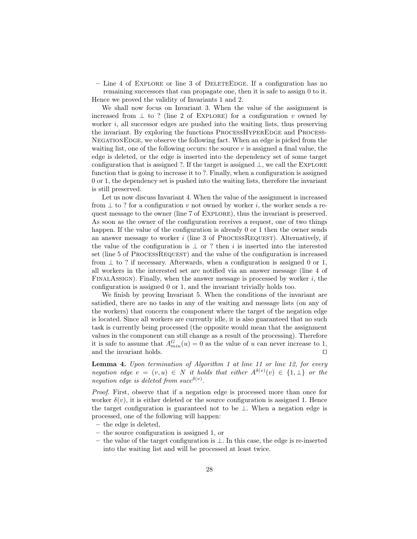– Line 4 of Explore or line 3 of DeleteEdge. If a configuration has no remaining successors that can propagate one, then it is safe to assign 0 to it. Hence we proved the validity of Invariants 1 and 2.

We shall now focus on Invariant 3. When the value of the assignment is increased from  $\perp$  to ? (line 2 of EXPLORE) for a configuration v owned by worker  $i$ , all successor edges are pushed into the waiting lists, thus preserving the invariant. By exploring the functions ProcessHyperEdge and Process-NEGATIONEDGE, we observe the following fact. When an edge is picked from the waiting list, one of the following occurs: the source  $v$  is assigned a final value, the edge is deleted, or the edge is inserted into the dependency set of some target configuration that is assigned ?. If the target is assigned  $\perp$ , we call the EXPLORE function that is going to increase it to ?. Finally, when a configuration is assigned 0 or 1, the dependency set is pushed into the waiting lists, therefore the invariant is still preserved.

Let us now discuss Invariant 4. When the value of the assignment is increased from  $\perp$  to ? for a configuration v not owned by worker i, the worker sends a request message to the owner (line 7 of Explore), thus the invariant is preserved. As soon as the owner of the configuration receives a request, one of two things happen. If the value of the configuration is already 0 or 1 then the owner sends an answer message to worker  $i$  (line 3 of PROCESSREQUEST). Alternatively, if the value of the configuration is  $\perp$  or ? then i is inserted into the interested set (line 5 of PROCESSREQUEST) and the value of the configuration is increased from  $\perp$  to ? if necessary. Afterwards, when a configuration is assigned 0 or 1, all workers in the interested set are notified via an answer message (line 4 of FINALASSIGN). Finally, when the answer message is processed by worker  $i$ , the configuration is assigned 0 or 1, and the invariant trivially holds too.

We finish by proving Invariant 5. When the conditions of the invariant are satisfied, there are no tasks in any of the waiting and message lists (on any of the workers) that concern the component where the target of the negation edge is located. Since all workers are currently idle, it is also guaranteed that no such task is currently being processed (the opposite would mean that the assignment values in the component can still change as a result of the processing). Therefore it is safe to assume that  $A_{min}^G(u) = 0$  as the value of u can never increase to 1, and the invariant holds.  $\Box$ 

**Lemma 4.** Upon termination of Algorithm 1 at line 11 or line 12, for every negation edge  $e = (v, u) \in N$  it holds that either  $A^{\delta(v)}(v) \in \{1, \perp\}$  or the negation edge is deleted from  $succ^{\delta(v)}$ .

Proof. First, observe that if a negation edge is processed more than once for worker  $\delta(v)$ , it is either deleted or the source configuration is assigned 1. Hence the target configuration is guaranteed not to be ⊥. When a negation edge is processed, one of the following will happen:

- the edge is deleted,
- the source configuration is assigned 1, or
- the value of the target configuration is ⊥. In this case, the edge is re-inserted into the waiting list and will be processed at least twice.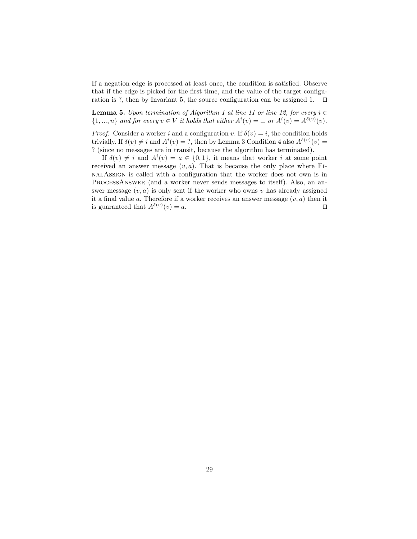If a negation edge is processed at least once, the condition is satisfied. Observe that if the edge is picked for the first time, and the value of the target configuration is ?, then by Invariant 5, the source configuration can be assigned 1.  $\Box$ 

**Lemma 5.** Upon termination of Algorithm 1 at line 11 or line 12, for every  $i \in$  $\{1, ..., n\}$  and for every  $v \in V$  it holds that either  $A^i(v) = \perp$  or  $A^i(v) = A^{\delta(v)}(v)$ .

*Proof.* Consider a worker i and a configuration v. If  $\delta(v) = i$ , the condition holds trivially. If  $\delta(v) \neq i$  and  $A^i(v) = ?$ , then by Lemma 3 Condition 4 also  $A^{\delta(v)}(v) =$ ? (since no messages are in transit, because the algorithm has terminated).

If  $\delta(v) \neq i$  and  $A^{i}(v) = a \in \{0,1\}$ , it means that worker i at some point received an answer message  $(v, a)$ . That is because the only place where FInalAssign is called with a configuration that the worker does not own is in ProcessAnswer (and a worker never sends messages to itself). Also, an answer message  $(v, a)$  is only sent if the worker who owns v has already assigned it a final value  $a$ . Therefore if a worker receives an answer message  $(v, a)$  then it is guaranteed that  $A^{\delta(v)}(v) = a$ .